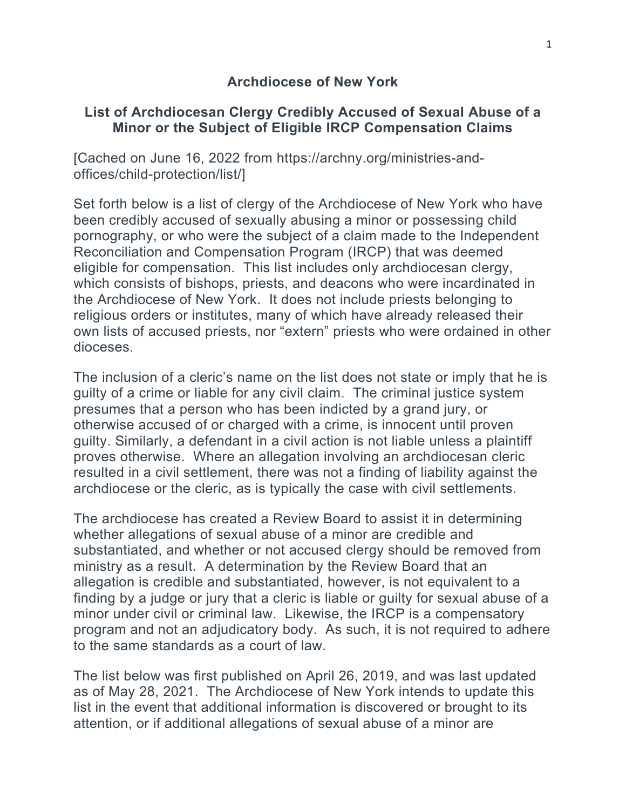#### **Archdiocese of New York**

### **List of Archdiocesan Clergy Credibly Accused of Sexual Abuse of a Minor or the Subject of Eligible IRCP Compensation Claims**

[Cached on June 16, 2022 from https://archny.org/ministries-andoffices/child-protection/list/]

Set forth below is a list of clergy of the Archdiocese of New York who have been credibly accused of sexually abusing a minor or possessing child pornography, or who were the subject of a claim made to the Independent Reconciliation and Compensation Program (IRCP) that was deemed eligible for compensation. This list includes only archdiocesan clergy, which consists of bishops, priests, and deacons who were incardinated in the Archdiocese of New York. It does not include priests belonging to religious orders or institutes, many of which have already released their own lists of accused priests, nor "extern" priests who were ordained in other dioceses.

The inclusion of a cleric's name on the list does not state or imply that he is guilty of a crime or liable for any civil claim. The criminal justice system presumes that a person who has been indicted by a grand jury, or otherwise accused of or charged with a crime, is innocent until proven guilty. Similarly, a defendant in a civil action is not liable unless a plaintiff proves otherwise. Where an allegation involving an archdiocesan cleric resulted in a civil settlement, there was not a finding of liability against the archdiocese or the cleric, as is typically the case with civil settlements.

The archdiocese has created a Review Board to assist it in determining whether allegations of sexual abuse of a minor are credible and substantiated, and whether or not accused clergy should be removed from ministry as a result. A determination by the Review Board that an allegation is credible and substantiated, however, is not equivalent to a finding by a judge or jury that a cleric is liable or guilty for sexual abuse of a minor under civil or criminal law. Likewise, the IRCP is a compensatory program and not an adjudicatory body. As such, it is not required to adhere to the same standards as a court of law.

The list below was first published on April 26, 2019, and was last updated as of May 28, 2021. The Archdiocese of New York intends to update this list in the event that additional information is discovered or brought to its attention, or if additional allegations of sexual abuse of a minor are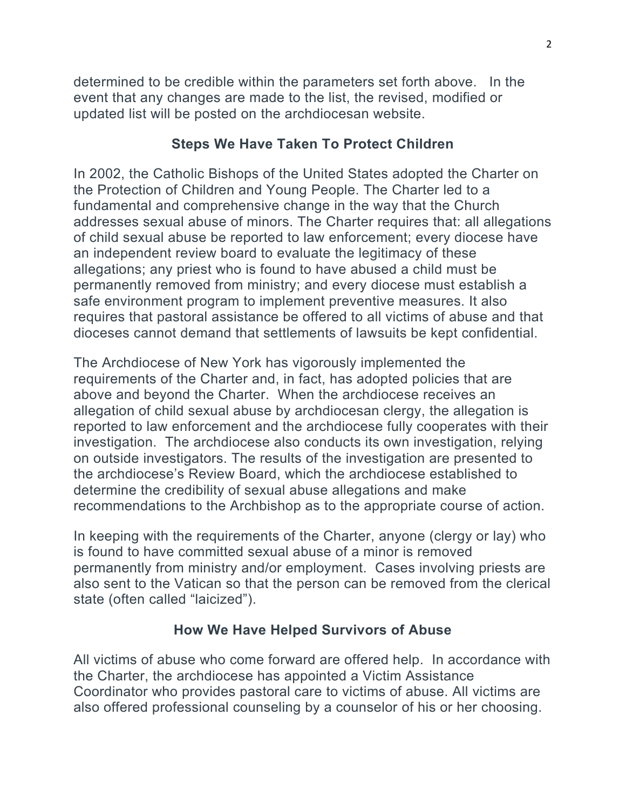determined to be credible within the parameters set forth above. In the event that any changes are made to the list, the revised, modified or updated list will be posted on the archdiocesan website.

### **Steps We Have Taken To Protect Children**

In 2002, the Catholic Bishops of the United States adopted the Charter on the Protection of Children and Young People. The Charter led to a fundamental and comprehensive change in the way that the Church addresses sexual abuse of minors. The Charter requires that: all allegations of child sexual abuse be reported to law enforcement; every diocese have an independent review board to evaluate the legitimacy of these allegations; any priest who is found to have abused a child must be permanently removed from ministry; and every diocese must establish a safe environment program to implement preventive measures. It also requires that pastoral assistance be offered to all victims of abuse and that dioceses cannot demand that settlements of lawsuits be kept confidential.

The Archdiocese of New York has vigorously implemented the requirements of the Charter and, in fact, has adopted policies that are above and beyond the Charter. When the archdiocese receives an allegation of child sexual abuse by archdiocesan clergy, the allegation is reported to law enforcement and the archdiocese fully cooperates with their investigation. The archdiocese also conducts its own investigation, relying on outside investigators. The results of the investigation are presented to the archdiocese's Review Board, which the archdiocese established to determine the credibility of sexual abuse allegations and make recommendations to the Archbishop as to the appropriate course of action.

In keeping with the requirements of the Charter, anyone (clergy or lay) who is found to have committed sexual abuse of a minor is removed permanently from ministry and/or employment. Cases involving priests are also sent to the Vatican so that the person can be removed from the clerical state (often called "laicized").

## **How We Have Helped Survivors of Abuse**

All victims of abuse who come forward are offered help. In accordance with the Charter, the archdiocese has appointed a Victim Assistance Coordinator who provides pastoral care to victims of abuse. All victims are also offered professional counseling by a counselor of his or her choosing.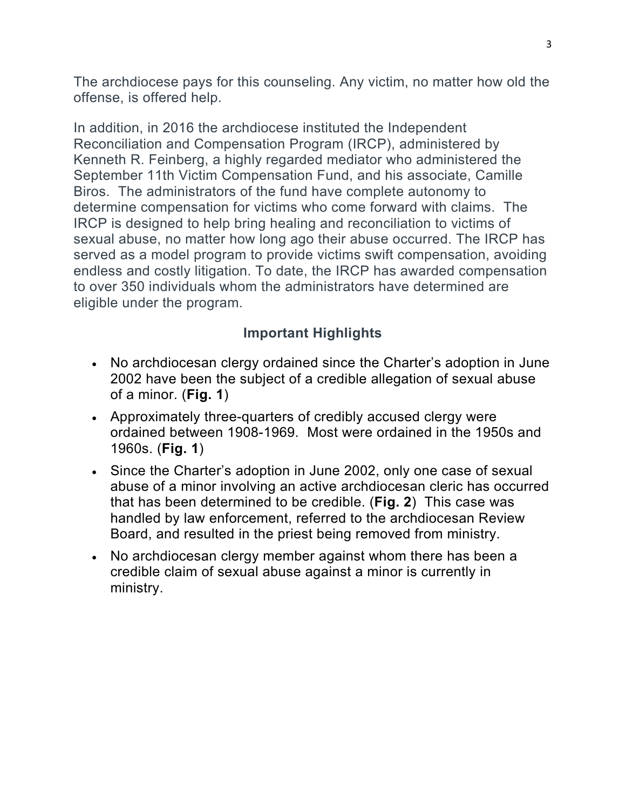The archdiocese pays for this counseling. Any victim, no matter how old the offense, is offered help.

In addition, in 2016 the archdiocese instituted the Independent Reconciliation and Compensation Program (IRCP), administered by Kenneth R. Feinberg, a highly regarded mediator who administered the September 11th Victim Compensation Fund, and his associate, Camille Biros. The administrators of the fund have complete autonomy to determine compensation for victims who come forward with claims. The IRCP is designed to help bring healing and reconciliation to victims of sexual abuse, no matter how long ago their abuse occurred. The IRCP has served as a model program to provide victims swift compensation, avoiding endless and costly litigation. To date, the IRCP has awarded compensation to over 350 individuals whom the administrators have determined are eligible under the program.

# **Important Highlights**

- No archdiocesan clergy ordained since the Charter's adoption in June 2002 have been the subject of a credible allegation of sexual abuse of a minor. (**Fig. 1**)
- Approximately three-quarters of credibly accused clergy were ordained between 1908-1969. Most were ordained in the 1950s and 1960s. (**Fig. 1**)
- Since the Charter's adoption in June 2002, only one case of sexual abuse of a minor involving an active archdiocesan cleric has occurred that has been determined to be credible. (**Fig. 2**) This case was handled by law enforcement, referred to the archdiocesan Review Board, and resulted in the priest being removed from ministry.
- No archdiocesan clergy member against whom there has been a credible claim of sexual abuse against a minor is currently in ministry.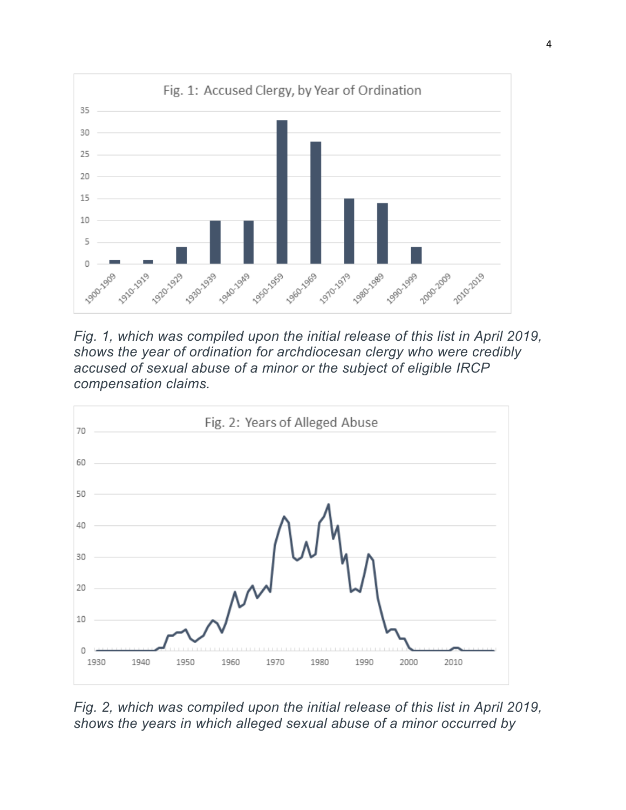

*Fig. 1, which was compiled upon the initial release of this list in April 2019, shows the year of ordination for archdiocesan clergy who were credibly accused of sexual abuse of a minor or the subject of eligible IRCP compensation claims.*



*Fig. 2, which was compiled upon the initial release of this list in April 2019, shows the years in which alleged sexual abuse of a minor occurred by*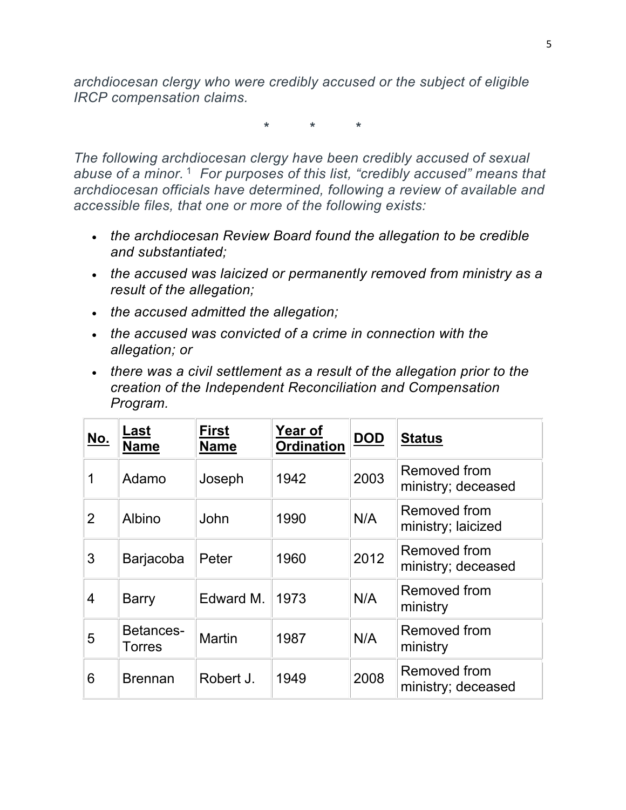*archdiocesan clergy who were credibly accused or the subject of eligible IRCP compensation claims.*

**\* \* \***

*The following archdiocesan clergy have been credibly accused of sexual abuse of a minor.*<sup>1</sup> *For purposes of this list, "credibly accused" means that archdiocesan officials have determined, following a review of available and accessible files, that one or more of the following exists:*

- *the archdiocesan Review Board found the allegation to be credible and substantiated;*
- *the accused was laicized or permanently removed from ministry as a result of the allegation;*
- *the accused admitted the allegation;*
- *the accused was convicted of a crime in connection with the allegation; or*
- *there was a civil settlement as a result of the allegation prior to the creation of the Independent Reconciliation and Compensation Program.*

| <u>No.</u>     | Last<br><b>Name</b> | <b>First</b><br><b>Name</b> | Year of<br><b>Ordination</b> | <b>DOD</b> | <b>Status</b>                             |
|----------------|---------------------|-----------------------------|------------------------------|------------|-------------------------------------------|
| 1              | Adamo               | Joseph                      | 1942                         | 2003       | Removed from<br>ministry; deceased        |
| $\overline{2}$ | Albino              | John                        | 1990                         | N/A        | <b>Removed from</b><br>ministry; laicized |
| 3              | Barjacoba           | Peter                       | 1960                         | 2012       | Removed from<br>ministry; deceased        |
| 4              | <b>Barry</b>        | Edward M.                   | 1973                         | N/A        | <b>Removed from</b><br>ministry           |
| 5              | Betances-<br>Torres | <b>Martin</b>               | 1987                         | N/A        | Removed from<br>ministry                  |
| 6              | <b>Brennan</b>      | Robert J.                   | 1949                         | 2008       | <b>Removed from</b><br>ministry; deceased |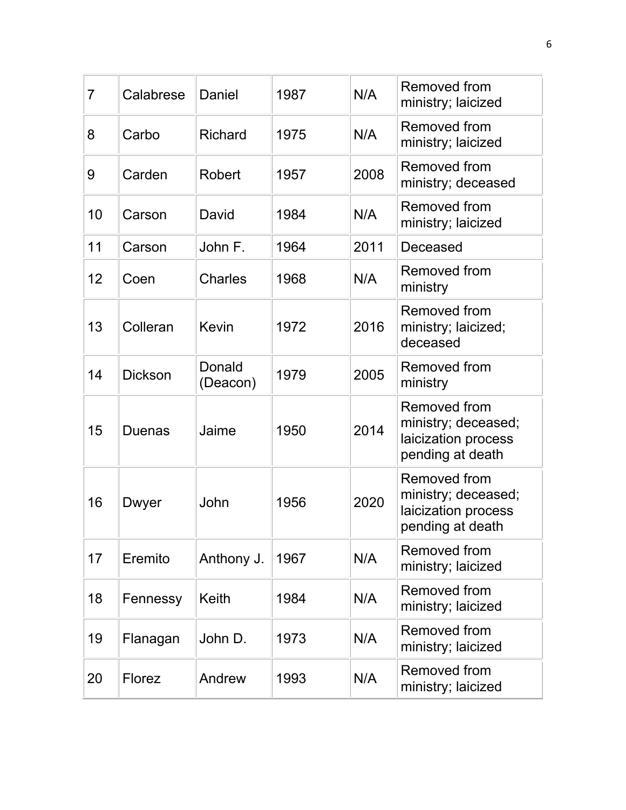| $\overline{7}$ | Calabrese      | Daniel             | 1987 | N/A  | Removed from<br>ministry; laicized                                                    |
|----------------|----------------|--------------------|------|------|---------------------------------------------------------------------------------------|
| 8              | Carbo          | <b>Richard</b>     | 1975 | N/A  | Removed from<br>ministry; laicized                                                    |
| 9              | Carden         | Robert             | 1957 | 2008 | Removed from<br>ministry; deceased                                                    |
| 10             | Carson         | David              | 1984 | N/A  | Removed from<br>ministry; laicized                                                    |
| 11             | Carson         | John F.            | 1964 | 2011 | Deceased                                                                              |
| 12             | Coen           | <b>Charles</b>     | 1968 | N/A  | Removed from<br>ministry                                                              |
| 13             | Colleran       | Kevin              | 1972 | 2016 | Removed from<br>ministry; laicized;<br>deceased                                       |
| 14             | <b>Dickson</b> | Donald<br>(Deacon) | 1979 | 2005 | Removed from<br>ministry                                                              |
| 15             | <b>Duenas</b>  | Jaime              | 1950 | 2014 | <b>Removed from</b><br>ministry; deceased;<br>laicization process<br>pending at death |
| 16             | Dwyer          | John               | 1956 | 2020 | <b>Removed from</b><br>ministry; deceased;<br>laicization process<br>pending at death |
| 17             | Eremito        | Anthony J.         | 1967 | N/A  | Removed from<br>ministry; laicized                                                    |
| 18             | Fennessy       | Keith              | 1984 | N/A  | Removed from<br>ministry; laicized                                                    |
| 19             | Flanagan       | John D.            | 1973 | N/A  | <b>Removed from</b><br>ministry; laicized                                             |
| 20             | <b>Florez</b>  | Andrew             | 1993 | N/A  | Removed from<br>ministry; laicized                                                    |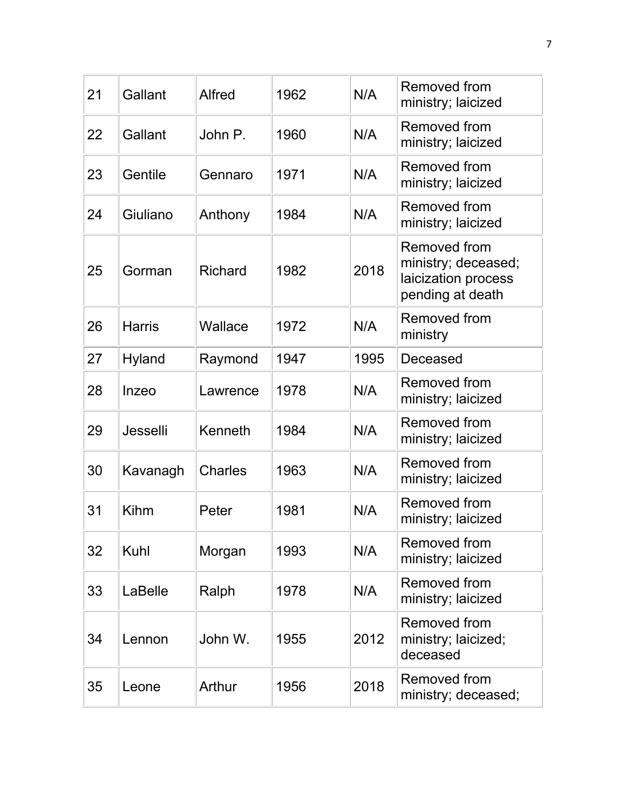| 21 | Gallant       | Alfred         | 1962 | N/A  | <b>Removed from</b><br>ministry; laicized                                      |
|----|---------------|----------------|------|------|--------------------------------------------------------------------------------|
| 22 | Gallant       | John P.        | 1960 | N/A  | Removed from<br>ministry; laicized                                             |
| 23 | Gentile       | Gennaro        | 1971 | N/A  | Removed from<br>ministry; laicized                                             |
| 24 | Giuliano      | Anthony        | 1984 | N/A  | Removed from<br>ministry; laicized                                             |
| 25 | Gorman        | <b>Richard</b> | 1982 | 2018 | Removed from<br>ministry; deceased;<br>laicization process<br>pending at death |
| 26 | <b>Harris</b> | Wallace        | 1972 | N/A  | Removed from<br>ministry                                                       |
| 27 | <b>Hyland</b> | Raymond        | 1947 | 1995 | Deceased                                                                       |
| 28 | Inzeo         | Lawrence       | 1978 | N/A  | Removed from<br>ministry; laicized                                             |
| 29 | Jesselli      | Kenneth        | 1984 | N/A  | Removed from<br>ministry; laicized                                             |
| 30 | Kavanagh      | <b>Charles</b> | 1963 | N/A  | Removed from<br>ministry; laicized                                             |
| 31 | Kihm          | Peter          | 1981 | N/A  | Removed from<br>ministry; laicized                                             |
| 32 | Kuhl          | Morgan         | 1993 | N/A  | Removed from<br>ministry; laicized                                             |
| 33 | LaBelle       | Ralph          | 1978 | N/A  | Removed from<br>ministry; laicized                                             |
| 34 | Lennon        | John W.        | 1955 | 2012 | Removed from<br>ministry; laicized;<br>deceased                                |
| 35 | Leone         | Arthur         | 1956 | 2018 | Removed from<br>ministry; deceased;                                            |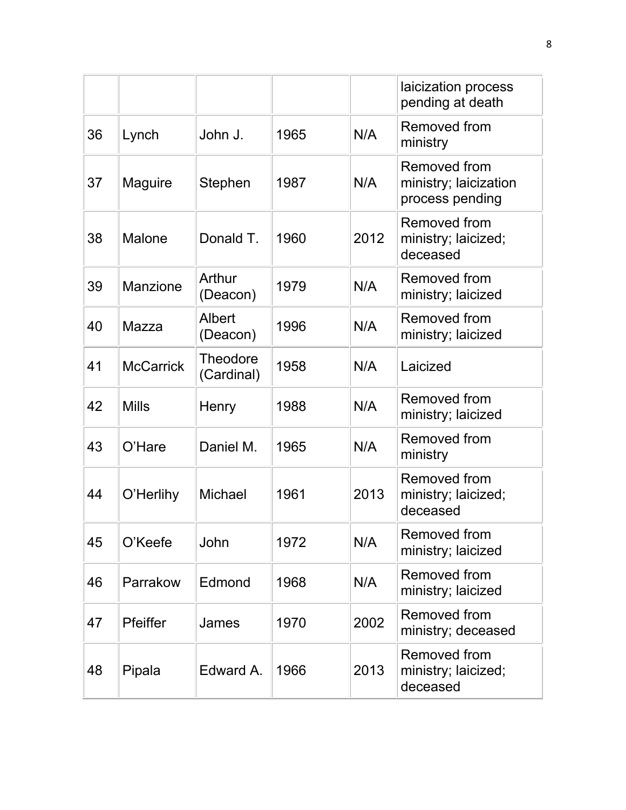|    |                  |                        |      |      | laicization process<br>pending at death                  |
|----|------------------|------------------------|------|------|----------------------------------------------------------|
| 36 | Lynch            | John J.                | 1965 | N/A  | Removed from<br>ministry                                 |
| 37 | <b>Maguire</b>   | Stephen                | 1987 | N/A  | Removed from<br>ministry; laicization<br>process pending |
| 38 | <b>Malone</b>    | Donald T.              | 1960 | 2012 | Removed from<br>ministry; laicized;<br>deceased          |
| 39 | Manzione         | Arthur<br>(Deacon)     | 1979 | N/A  | Removed from<br>ministry; laicized                       |
| 40 | Mazza            | Albert<br>(Deacon)     | 1996 | N/A  | Removed from<br>ministry; laicized                       |
| 41 | <b>McCarrick</b> | Theodore<br>(Cardinal) | 1958 | N/A  | Laicized                                                 |
| 42 | <b>Mills</b>     | Henry                  | 1988 | N/A  | Removed from<br>ministry; laicized                       |
| 43 | O'Hare           | Daniel M.              | 1965 | N/A  | Removed from<br>ministry                                 |
| 44 | O'Herlihy        | Michael                | 1961 | 2013 | Removed from<br>ministry; laicized;<br>deceased          |
| 45 | O'Keefe          | John                   | 1972 | N/A  | <b>Removed from</b><br>ministry; laicized                |
| 46 | Parrakow         | Edmond                 | 1968 | N/A  | Removed from<br>ministry; laicized                       |
| 47 | Pfeiffer         | James                  | 1970 | 2002 | Removed from<br>ministry; deceased                       |
| 48 | Pipala           | Edward A.              | 1966 | 2013 | Removed from<br>ministry; laicized;<br>deceased          |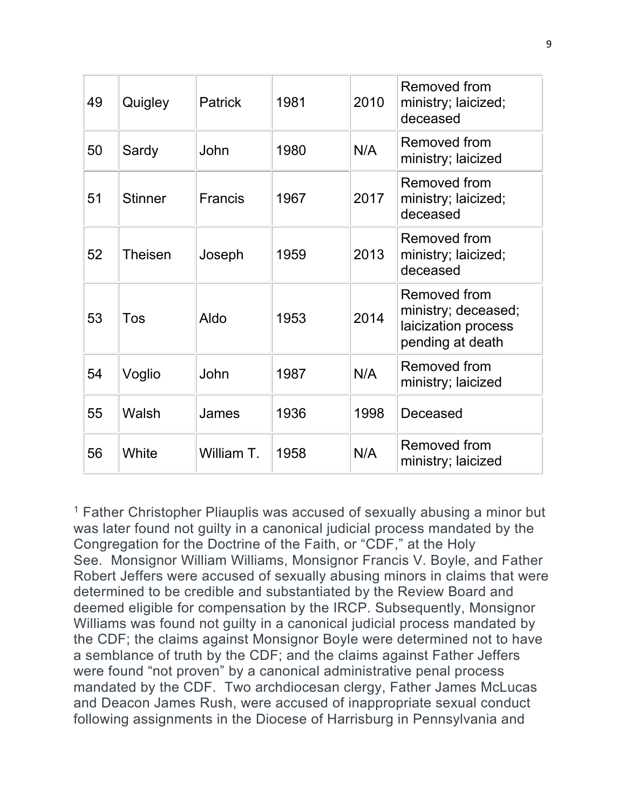| 49 | Quigley        | <b>Patrick</b> | 1981 | 2010 | Removed from<br>ministry; laicized;<br>deceased                                |
|----|----------------|----------------|------|------|--------------------------------------------------------------------------------|
| 50 | Sardy          | John           | 1980 | N/A  | Removed from<br>ministry; laicized                                             |
| 51 | <b>Stinner</b> | <b>Francis</b> | 1967 | 2017 | Removed from<br>ministry; laicized;<br>deceased                                |
| 52 | <b>Theisen</b> | Joseph         | 1959 | 2013 | Removed from<br>ministry; laicized;<br>deceased                                |
| 53 | Tos            | Aldo           | 1953 | 2014 | Removed from<br>ministry; deceased;<br>laicization process<br>pending at death |
| 54 | Voglio         | John           | 1987 | N/A  | Removed from<br>ministry; laicized                                             |
| 55 | Walsh          | James          | 1936 | 1998 | Deceased                                                                       |
| 56 | White          | William T.     | 1958 | N/A  | Removed from<br>ministry; laicized                                             |

<sup>1</sup> Father Christopher Pliauplis was accused of sexually abusing a minor but was later found not guilty in a canonical judicial process mandated by the Congregation for the Doctrine of the Faith, or "CDF," at the Holy See. Monsignor William Williams, Monsignor Francis V. Boyle, and Father Robert Jeffers were accused of sexually abusing minors in claims that were determined to be credible and substantiated by the Review Board and deemed eligible for compensation by the IRCP. Subsequently, Monsignor Williams was found not guilty in a canonical judicial process mandated by the CDF; the claims against Monsignor Boyle were determined not to have a semblance of truth by the CDF; and the claims against Father Jeffers were found "not proven" by a canonical administrative penal process mandated by the CDF. Two archdiocesan clergy, Father James McLucas and Deacon James Rush, were accused of inappropriate sexual conduct following assignments in the Diocese of Harrisburg in Pennsylvania and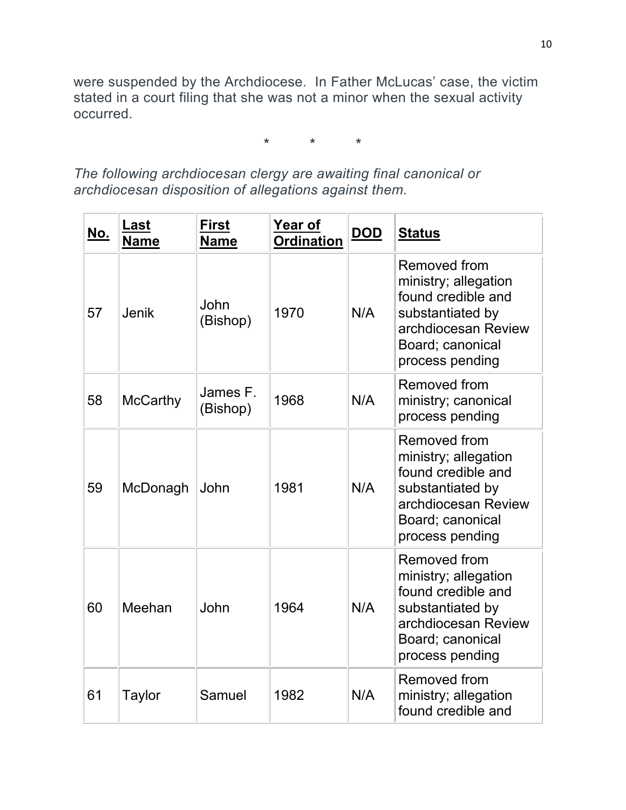were suspended by the Archdiocese. In Father McLucas' case, the victim stated in a court filing that she was not a minor when the sexual activity occurred.

**\* \* \***

*The following archdiocesan clergy are awaiting final canonical or archdiocesan disposition of allegations against them.*

| <u>No.</u> | <u>Last</u><br><b>Name</b> | <b>First</b><br><b>Name</b> | Year of<br><b>Ordination</b> | <u>DOD</u> | <b>Status</b>                                                                                                                                       |
|------------|----------------------------|-----------------------------|------------------------------|------------|-----------------------------------------------------------------------------------------------------------------------------------------------------|
| 57         | <b>Jenik</b>               | John<br>(Bishop)            | 1970                         | N/A        | <b>Removed from</b><br>ministry; allegation<br>found credible and<br>substantiated by<br>archdiocesan Review<br>Board; canonical<br>process pending |
| 58         | <b>McCarthy</b>            | James F.<br>(Bishop)        | 1968                         | N/A        | Removed from<br>ministry; canonical<br>process pending                                                                                              |
| 59         | McDonagh                   | John                        | 1981                         | N/A        | <b>Removed from</b><br>ministry; allegation<br>found credible and<br>substantiated by<br>archdiocesan Review<br>Board; canonical<br>process pending |
| 60         | Meehan                     | John                        | 1964                         | N/A        | Removed from<br>ministry; allegation<br>found credible and<br>substantiated by<br>archdiocesan Review<br>Board; canonical<br>process pending        |
| 61         | <b>Taylor</b>              | Samuel                      | 1982                         | N/A        | Removed from<br>ministry; allegation<br>found credible and                                                                                          |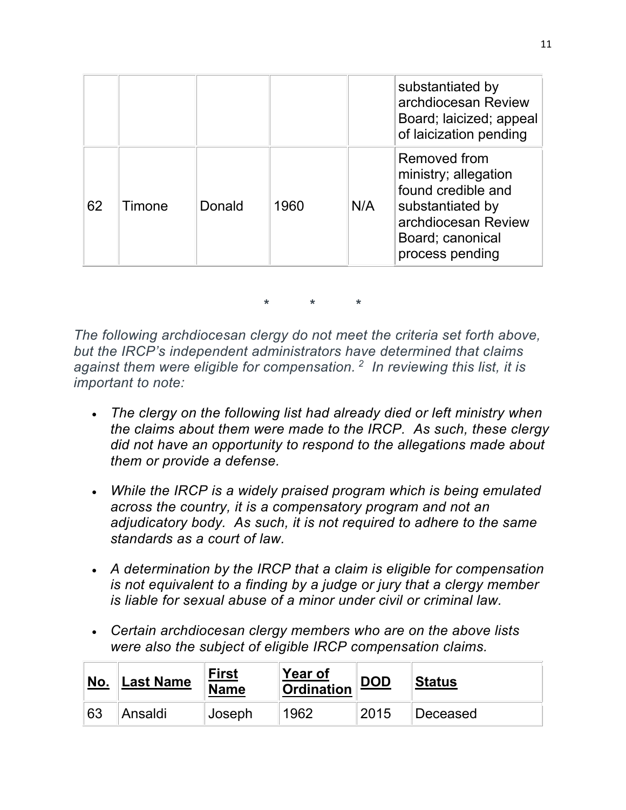|    |        |        |      |     | substantiated by<br>archdiocesan Review<br>Board; laicized; appeal<br>of laicization pending                                                 |
|----|--------|--------|------|-----|----------------------------------------------------------------------------------------------------------------------------------------------|
| 62 | Timone | Donald | 1960 | N/A | Removed from<br>ministry; allegation<br>found credible and<br>substantiated by<br>archdiocesan Review<br>Board; canonical<br>process pending |

**\* \* \***

*The following archdiocesan clergy do not meet the criteria set forth above, but the IRCP's independent administrators have determined that claims against them were eligible for compensation. 2 In reviewing this list, it is important to note:*

- *The clergy on the following list had already died or left ministry when the claims about them were made to the IRCP. As such, these clergy did not have an opportunity to respond to the allegations made about them or provide a defense.*
- *While the IRCP is a widely praised program which is being emulated across the country, it is a compensatory program and not an adjudicatory body. As such, it is not required to adhere to the same standards as a court of law.*
- *A determination by the IRCP that a claim is eligible for compensation is not equivalent to a finding by a judge or jury that a clergy member is liable for sexual abuse of a minor under civil or criminal law.*
- *Certain archdiocesan clergy members who are on the above lists were also the subject of eligible IRCP compensation claims.*

| <u>No.</u> | <b>Last Name</b> | <b>First</b><br><b>Name</b> | <b>Year of</b><br><b>Ordination</b> | <u>DOD</u> | <b>Status</b> |
|------------|------------------|-----------------------------|-------------------------------------|------------|---------------|
| 63         | Ansaldi          | Joseph                      | 1962                                | 2015       | Deceased      |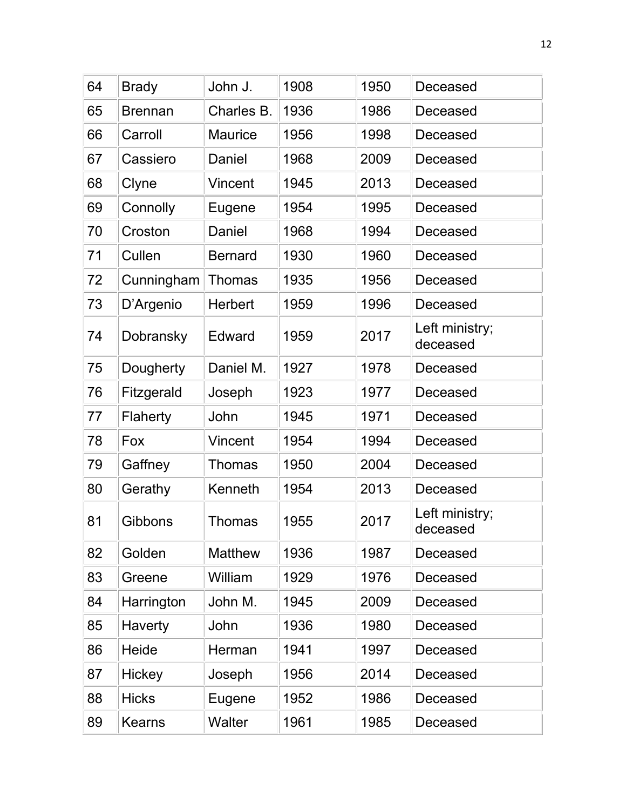| 64 | <b>Brady</b>   | John J.        | 1908 | 1950 | Deceased                   |
|----|----------------|----------------|------|------|----------------------------|
| 65 | <b>Brennan</b> | Charles B.     | 1936 | 1986 | Deceased                   |
| 66 | Carroll        | <b>Maurice</b> | 1956 | 1998 | Deceased                   |
| 67 | Cassiero       | Daniel         | 1968 | 2009 | Deceased                   |
| 68 | Clyne          | Vincent        | 1945 | 2013 | Deceased                   |
| 69 | Connolly       | Eugene         | 1954 | 1995 | Deceased                   |
| 70 | Croston        | Daniel         | 1968 | 1994 | Deceased                   |
| 71 | Cullen         | <b>Bernard</b> | 1930 | 1960 | Deceased                   |
| 72 | Cunningham     | <b>Thomas</b>  | 1935 | 1956 | Deceased                   |
| 73 | D'Argenio      | <b>Herbert</b> | 1959 | 1996 | Deceased                   |
| 74 | Dobransky      | Edward         | 1959 | 2017 | Left ministry;<br>deceased |
| 75 | Dougherty      | Daniel M.      | 1927 | 1978 | Deceased                   |
| 76 | Fitzgerald     | Joseph         | 1923 | 1977 | Deceased                   |
| 77 | Flaherty       | John           | 1945 | 1971 | Deceased                   |
| 78 | Fox            | <b>Vincent</b> | 1954 | 1994 | Deceased                   |
| 79 | Gaffney        | <b>Thomas</b>  | 1950 | 2004 | Deceased                   |
| 80 | Gerathy        | Kenneth        | 1954 | 2013 | Deceased                   |
| 81 | <b>Gibbons</b> | <b>Thomas</b>  | 1955 | 2017 | Left ministry;<br>deceased |
| 82 | Golden         | <b>Matthew</b> | 1936 | 1987 | Deceased                   |
| 83 | Greene         | William        | 1929 | 1976 | Deceased                   |
| 84 | Harrington     | John M.        | 1945 | 2009 | Deceased                   |
| 85 | <b>Haverty</b> | John           | 1936 | 1980 | Deceased                   |
| 86 | Heide          | Herman         | 1941 | 1997 | Deceased                   |
| 87 | Hickey         | Joseph         | 1956 | 2014 | Deceased                   |
| 88 | <b>Hicks</b>   | Eugene         | 1952 | 1986 | Deceased                   |
| 89 | <b>Kearns</b>  | Walter         | 1961 | 1985 | Deceased                   |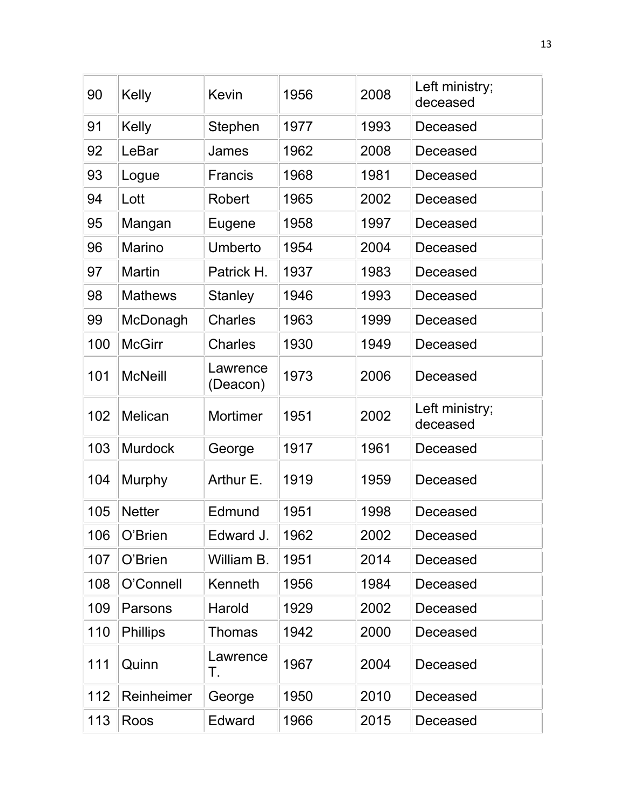| 90  | Kelly           | <b>Kevin</b>         | 1956 | 2008 | Left ministry;<br>deceased |
|-----|-----------------|----------------------|------|------|----------------------------|
| 91  | Kelly           | Stephen              | 1977 | 1993 | Deceased                   |
| 92  | LeBar           | James                | 1962 | 2008 | Deceased                   |
| 93  | Logue           | <b>Francis</b>       | 1968 | 1981 | Deceased                   |
| 94  | Lott            | Robert               | 1965 | 2002 | Deceased                   |
| 95  | Mangan          | Eugene               | 1958 | 1997 | Deceased                   |
| 96  | <b>Marino</b>   | Umberto              | 1954 | 2004 | Deceased                   |
| 97  | <b>Martin</b>   | Patrick H.           | 1937 | 1983 | Deceased                   |
| 98  | <b>Mathews</b>  | <b>Stanley</b>       | 1946 | 1993 | Deceased                   |
| 99  | McDonagh        | <b>Charles</b>       | 1963 | 1999 | Deceased                   |
| 100 | <b>McGirr</b>   | <b>Charles</b>       | 1930 | 1949 | Deceased                   |
| 101 | <b>McNeill</b>  | Lawrence<br>(Deacon) | 1973 | 2006 | Deceased                   |
| 102 | Melican         | Mortimer             | 1951 | 2002 | Left ministry;<br>deceased |
| 103 | <b>Murdock</b>  | George               | 1917 | 1961 | Deceased                   |
| 104 | Murphy          | Arthur E.            | 1919 | 1959 | Deceased                   |
| 105 | <b>Netter</b>   | Edmund               | 1951 | 1998 | Deceased                   |
| 106 | O'Brien         | Edward J.            | 1962 | 2002 | Deceased                   |
| 107 | O'Brien         | William B.           | 1951 | 2014 | Deceased                   |
| 108 | O'Connell       | Kenneth              | 1956 | 1984 | Deceased                   |
| 109 | Parsons         | Harold               | 1929 | 2002 | Deceased                   |
| 110 | <b>Phillips</b> | <b>Thomas</b>        | 1942 | 2000 | Deceased                   |
| 111 | Quinn           | Lawrence<br>Τ.       | 1967 | 2004 | Deceased                   |
| 112 | Reinheimer      | George               | 1950 | 2010 | Deceased                   |
| 113 | Roos            | Edward               | 1966 | 2015 | Deceased                   |